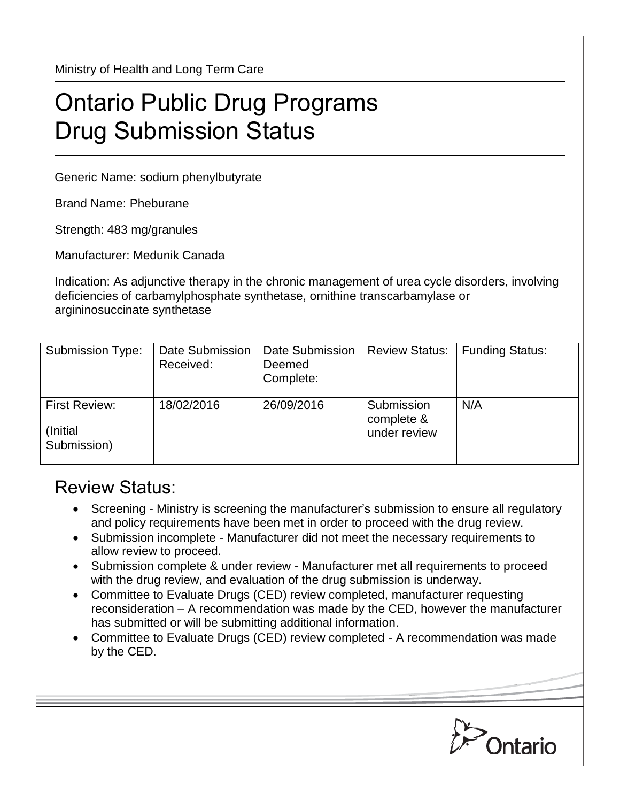Ministry of Health and Long Term Care

## Ontario Public Drug Programs Drug Submission Status

Generic Name: sodium phenylbutyrate

Brand Name: Pheburane

Strength: 483 mg/granules

Manufacturer: Medunik Canada

Indication: As adjunctive therapy in the chronic management of urea cycle disorders, involving deficiencies of carbamylphosphate synthetase, ornithine transcarbamylase or argininosuccinate synthetase

| Submission Type:                          | Date Submission<br>Received: | Date Submission<br>Deemed<br>Complete: | <b>Review Status:</b>                    | <b>Funding Status:</b> |
|-------------------------------------------|------------------------------|----------------------------------------|------------------------------------------|------------------------|
| First Review:<br>(Initial)<br>Submission) | 18/02/2016                   | 26/09/2016                             | Submission<br>complete &<br>under review | N/A                    |

## Review Status:

- Screening Ministry is screening the manufacturer's submission to ensure all regulatory and policy requirements have been met in order to proceed with the drug review.
- Submission incomplete Manufacturer did not meet the necessary requirements to allow review to proceed.
- Submission complete & under review Manufacturer met all requirements to proceed with the drug review, and evaluation of the drug submission is underway.
- Committee to Evaluate Drugs (CED) review completed, manufacturer requesting reconsideration – A recommendation was made by the CED, however the manufacturer has submitted or will be submitting additional information.
- Committee to Evaluate Drugs (CED) review completed A recommendation was made by the CED.